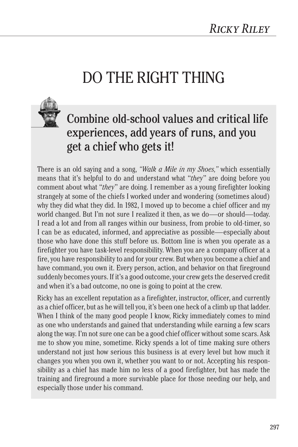## DO THE RIGHT THING



## Combine old-school values and critical life experiences, add years of runs, and you get a chief who gets it!

There is an old saying and a song, *"Walk a Mile in my Shoes,"* which essentially means that it's helpful to do and understand what "*they*" are doing before you comment about what "*they*" are doing. I remember as a young firefighter looking strangely at some of the chiefs I worked under and wondering (sometimes aloud) why they did what they did. In 1982, I moved up to become a chief officer and my world changed. But I'm not sure I realized it then, as we do—or should—today. I read a lot and from all ranges within our business, from probie to old-timer, so I can be as educated, informed, and appreciative as possible—especially about those who have done this stuff before us. Bottom line is when you operate as a firefighter you have task-level responsibility. When you are a company officer at a fire, you have responsibility to and for your crew. But when you become a chief and have command, you own it. Every person, action, and behavior on that fireground suddenly becomes yours. If it's a good outcome, your crew gets the deserved credit and when it's a bad outcome, no one is going to point at the crew.

Ricky has an excellent reputation as a firefighter, instructor, officer, and currently as a chief officer, but as he will tell you, it's been one heck of a climb up that ladder. When I think of the many good people I know, Ricky immediately comes to mind as one who understands and gained that understanding while earning a few scars along the way. I'm not sure one can be a good chief officer without some scars. Ask me to show you mine, sometime. Ricky spends a lot of time making sure others understand not just how serious this business is at every level but how much it changes you when you own it, whether you want to or not. Accepting his responsibility as a chief has made him no less of a good firefighter, but has made the training and fireground a more survivable place for those needing our help, and especially those under his command.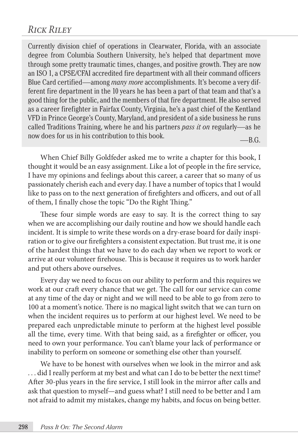## *Rick Riley*

Currently division chief of operations in Clearwater, Florida, with an associate degree from Columbia Southern University, he's helped that department move through some pretty traumatic times, changes, and positive growth. They are now an ISO 1, a CPSE/CFAI accredited fire department with all their command officers Blue Card certified—among *many more* accomplishments. It's become a very different fire department in the 10 years he has been a part of that team and that's a good thing for the public, and the members of that fire department. He also served as a career firefighter in Fairfax County, Virginia, he's a past chief of the Kentland VFD in Prince George's County, Maryland, and president of a side business he runs called Traditions Training, where he and his partners *pass it on* regularly—as he now does for us in his contribution to this book.  $-**B.G.**$ 

When Chief Billy Goldfeder asked me to write a chapter for this book, I thought it would be an easy assignment. Like a lot of people in the fire service, I have my opinions and feelings about this career, a career that so many of us passionately cherish each and every day. I have a number of topics that I would like to pass on to the next generation of firefighters and officers, and out of all of them, I finally chose the topic "Do the Right Thing."

These four simple words are easy to say. It is the correct thing to say when we are accomplishing our daily routine and how we should handle each incident. It is simple to write these words on a dry-erase board for daily inspiration or to give our firefighters a consistent expectation. But trust me, it is one of the hardest things that we have to do each day when we report to work or arrive at our volunteer firehouse. This is because it requires us to work harder and put others above ourselves.

Every day we need to focus on our ability to perform and this requires we work at our craft every chance that we get. The call for our service can come at any time of the day or night and we will need to be able to go from zero to 100 at a moment's notice. There is no magical light switch that we can turn on when the incident requires us to perform at our highest level. We need to be prepared each unpredictable minute to perform at the highest level possible all the time, every time. With that being said, as a firefighter or officer, you need to own your performance. You can't blame your lack of performance or inability to perform on someone or something else other than yourself.

We have to be honest with ourselves when we look in the mirror and ask . . . did I really perform at my best and what can I do to be better the next time? After 30-plus years in the fire service, I still look in the mirror after calls and ask that question to myself—and guess what? I still need to be better and I am not afraid to admit my mistakes, change my habits, and focus on being better.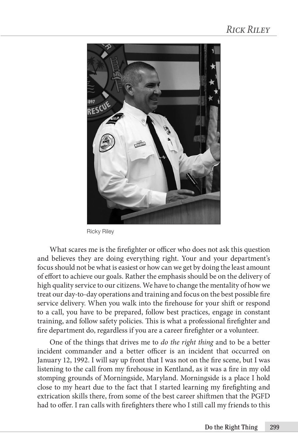

Ricky Riley

What scares me is the firefighter or officer who does not ask this question and believes they are doing everything right. Your and your department's focus should not be what is easiest or how can we get by doing the least amount of effort to achieve our goals. Rather the emphasis should be on the delivery of high quality service to our citizens. We have to change the mentality of how we treat our day-to-day operations and training and focus on the best possible fire service delivery. When you walk into the firehouse for your shift or respond to a call, you have to be prepared, follow best practices, engage in constant training, and follow safety policies. This is what a professional firefighter and fire department do, regardless if you are a career firefighter or a volunteer.

One of the things that drives me to *do the right thing* and to be a better incident commander and a better officer is an incident that occurred on January 12, 1992. I will say up front that I was not on the fire scene, but I was listening to the call from my firehouse in Kentland, as it was a fire in my old stomping grounds of Morningside, Maryland. Morningside is a place I hold close to my heart due to the fact that I started learning my firefighting and extrication skills there, from some of the best career shiftmen that the PGFD had to offer. I ran calls with firefighters there who I still call my friends to this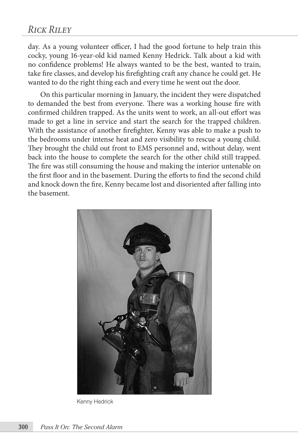day. As a young volunteer officer, I had the good fortune to help train this cocky, young 16-year-old kid named Kenny Hedrick. Talk about a kid with no confidence problems! He always wanted to be the best, wanted to train, take fire classes, and develop his firefighting craft any chance he could get. He wanted to do the right thing each and every time he went out the door.

On this particular morning in January, the incident they were dispatched to demanded the best from everyone. There was a working house fire with confirmed children trapped. As the units went to work, an all-out effort was made to get a line in service and start the search for the trapped children. With the assistance of another firefighter, Kenny was able to make a push to the bedrooms under intense heat and zero visibility to rescue a young child. They brought the child out front to EMS personnel and, without delay, went back into the house to complete the search for the other child still trapped. The fire was still consuming the house and making the interior untenable on the first floor and in the basement. During the efforts to find the second child and knock down the fire, Kenny became lost and disoriented after falling into the basement.



Kenny Hedrick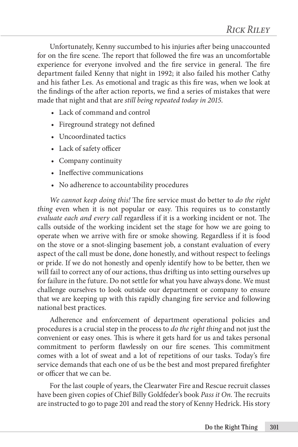Unfortunately, Kenny succumbed to his injuries after being unaccounted for on the fire scene. The report that followed the fire was an uncomfortable experience for everyone involved and the fire service in general. The fire department failed Kenny that night in 1992; it also failed his mother Cathy and his father Les. As emotional and tragic as this fire was, when we look at the findings of the after action reports, we find a series of mistakes that were made that night and that are *still being repeated today in 2015*.

- Lack of command and control
- Fireground strategy not defined
- Uncoordinated tactics
- Lack of safety officer
- Company continuity
- Ineffective communications
- No adherence to accountability procedures

*We cannot keep doing this!* The fire service must do better to *do the right thing* even when it is not popular or easy. This requires us to constantly *evaluate each and every call* regardless if it is a working incident or not. The calls outside of the working incident set the stage for how we are going to operate when we arrive with fire or smoke showing. Regardless if it is food on the stove or a snot-slinging basement job, a constant evaluation of every aspect of the call must be done, done honestly, and without respect to feelings or pride. If we do not honestly and openly identify how to be better, then we will fail to correct any of our actions, thus drifting us into setting ourselves up for failure in the future. Do not settle for what you have always done. We must challenge ourselves to look outside our department or company to ensure that we are keeping up with this rapidly changing fire service and following national best practices.

Adherence and enforcement of department operational policies and procedures is a crucial step in the process to *do the right thing* and not just the convenient or easy ones. This is where it gets hard for us and takes personal commitment to perform flawlessly on our fire scenes. This commitment comes with a lot of sweat and a lot of repetitions of our tasks. Today's fire service demands that each one of us be the best and most prepared firefighter or officer that we can be.

For the last couple of years, the Clearwater Fire and Rescue recruit classes have been given copies of Chief Billy Goldfeder's book *Pass it On*. The recruits are instructed to go to page 201 and read the story of Kenny Hedrick. His story